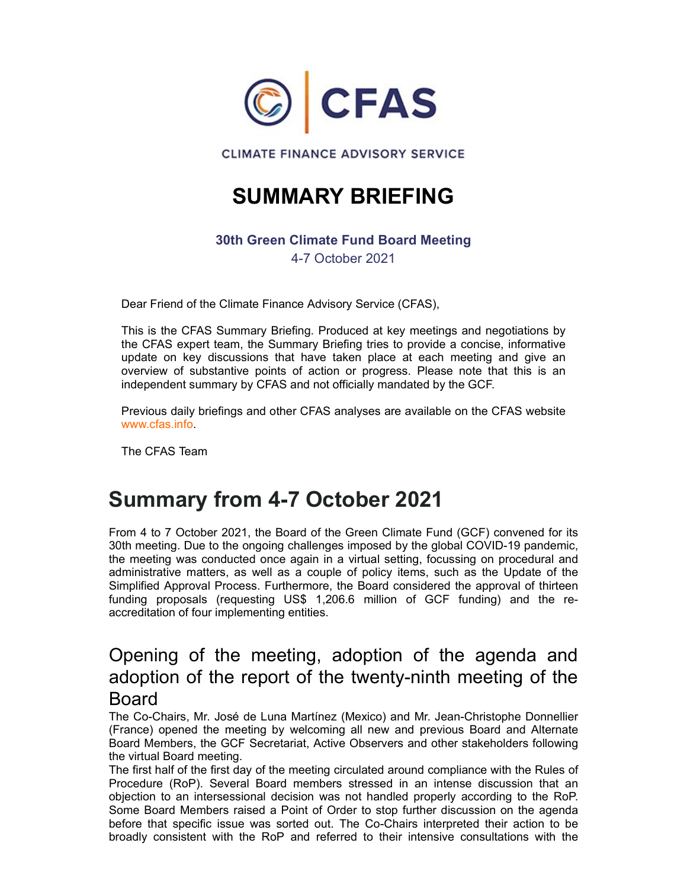

## SUMMARY BRIEFING

#### 30th Green Climate Fund Board Meeting

4-7 October 2021

Dear Friend of the Climate Finance Advisory Service (CFAS),

This is the CFAS Summary Briefing. Produced at key meetings and negotiations by the CFAS expert team, the Summary Briefing tries to provide a concise, informative **CONTANT CONSECT AS**<br> **CLIMATE FINANCE ADVISORY SERVICE**<br> **SUMMARY BRIEFING**<br>
30th Green Climate Fund Board Meeting<br>
4-7 October 2021<br>
Dear Friend of the Climate Finance Advisory Service (CFAS),<br>
This is the CFAS Summary B overview of substantive points of action or progress. Please note that this is an independent summary by CFAS and not officially mandated by the GCF.

Previous daily briefings and other CFAS analyses are available on the CFAS website www.cfas.info.

The CFAS Team

## Summary from 4-7 October 2021

From 4 to 7 October 2021, the Board of the Green Climate Fund (GCF) convened for its 30th meeting. Due to the ongoing challenges imposed by the global COVID-19 pandemic, the meeting was conducted once again in a virtual setting, focussing on procedural and administrative matters, as well as a couple of policy items, such as the Update of the Simplified Approval Process. Furthermore, the Board considered the approval of thirteen Funding the CFAS Summary Briefling. Produced at key meetings and negotiations by<br>the CFAS expert team, the Summary Briefling tries to provide a concise, informative<br>update on key discussions that have taken place at each m accreditation of four implementing entities. overview of substantive points of action or progress. Please note that this is an independent summary by CFAS and not officially mandated by the GCF.<br>
Frevious daily briefings and other CFAS analyses are available on the C **Summary from 4-7 October 2021**<br>From 4 to 7 October 2021, the Board of the Green Climate Fund (GCF) convened for its<br>30th meeting Due to the ongoing challenges imposed by the global COVID-19 pandemic,<br>the meeting was condu

## adoption of the report of the twenty-ninth meeting of the Board

The Co-Chairs, Mr. José de Luna Martínez (Mexico) and Mr. Jean-Christophe Donnellier (France) opened the meeting by welcoming all new and previous Board and Alternate Board Members, the GCF Secretariat, Active Observers and other stakeholders following the virtual Board meeting.

The first half of the first day of the meeting circulated around compliance with the Rules of objection to an intersessional decision was not handled properly according to the RoP. Some Board Members raised a Point of Order to stop further discussion on the agenda before that specific issue was sorted out. The Co-Chairs interpreted their action to be broadly consistent with the RoP and referred to their intensive consultations with the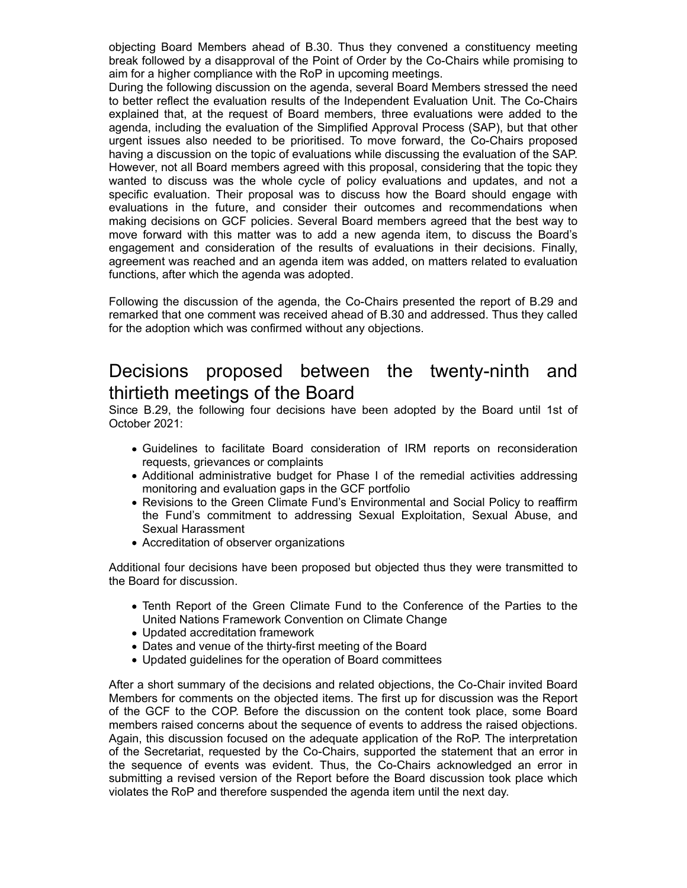objecting Board Members ahead of B.30. Thus they convened a constituency meeting break followed by a disapproval of the Point of Order by the Co-Chairs while promising to aim for a higher compliance with the RoP in upcoming meetings.

During the following discussion on the agenda, several Board Members stressed the need to better reflect the evaluation results of the Independent Evaluation Unit. The Co-Chairs explained that, at the request of Board members, three evaluations were added to the agenda, including the evaluation of the Simplified Approval Process (SAP), but that other urgent issues also needed to be prioritised. To move forward, the Co-Chairs proposed having a discussion on the topic of evaluations while discussing the evaluation of the SAP. However, not all Board members agreed with this proposal, considering that the topic they wanted to discuss was the whole cycle of policy evaluations and updates, and not a specific evaluation. Their proposal was to discuss how the Board should engage with objecting Board Members ahead of B.30. Thus they convened a constituency meeting<br>break followed by a disapproval of the Point of Order by the Co-Chairs while promising to<br>aim for a higher compliance with the RoP in upcomin making decisions on GCF policies. Several Board members agreed that the best way to move forward with this matter was to add a new agenda item, to discuss the Board's engagement and consideration of the results of evaluations in their decisions. Finally, agreement was reached and an agenda item was added, on matters related to evaluation functions, after which the agenda was adopted. During the following discussion on the agenda, several Board Members stressed the need percept and the following is constrained that, at the request of Board members, three evaluations were added to the separat, including Fracession of the consideration and with a species and the discussion of the section of the discuss was the whole cycle of policy evaluations and updates, and not a consideration star to discuss how the Board should engage decessions of occy pounds. Gereal board members agrees that the teat way of boward with this matter was to add a new agenda tem, to discuss the Board's memot and onsideration of the results of evaluation in their deceision

Following the discussion of the agenda, the Co-Chairs presented the report of B.29 and remarked that one comment was received ahead of B.30 and addressed. Thus they called for the adoption which was confirmed without any objections.

# thirtieth meetings of the Board

Since B.29, the following four decisions have been adopted by the Board until 1st of October 2021:

- requests, grievances or complaints
- Additional administrative budget for Phase I of the remedial activities addressing monitoring and evaluation gaps in the GCF portfolio
- Revisions to the Green Climate Fund's Environmental and Social Policy to reaffirm Sexual Harassment
- Accreditation of observer organizations

Additional four decisions have been proposed but objected thus they were transmitted to the Board for discussion.

- Tenth Report of the Green Climate Fund to the Conference of the Parties to the United Nations Framework Convention on Climate Change
- Updated accreditation framework
- Dates and venue of the thirty-first meeting of the Board
- Updated guidelines for the operation of Board committees

After a short summary of the decisions and related objections, the Co-Chair invited Board Members for comments on the objected items. The first up for discussion was the Report of the GCF to the COP. Before the discussion on the content took place, some Board members raised concerns about the sequence of events to address the raised objections. Again, this discussion focused on the adequate application of the RoP. The interpretation of the Secretariat, requested by the Co-Chairs, supported the statement that an error in the sequence of events was evident. Thus, the Co-Chairs acknowledged an error in submitting a revised version of the Report before the Board discussion took place which violates the RoP and therefore suspended the agenda item until the next day.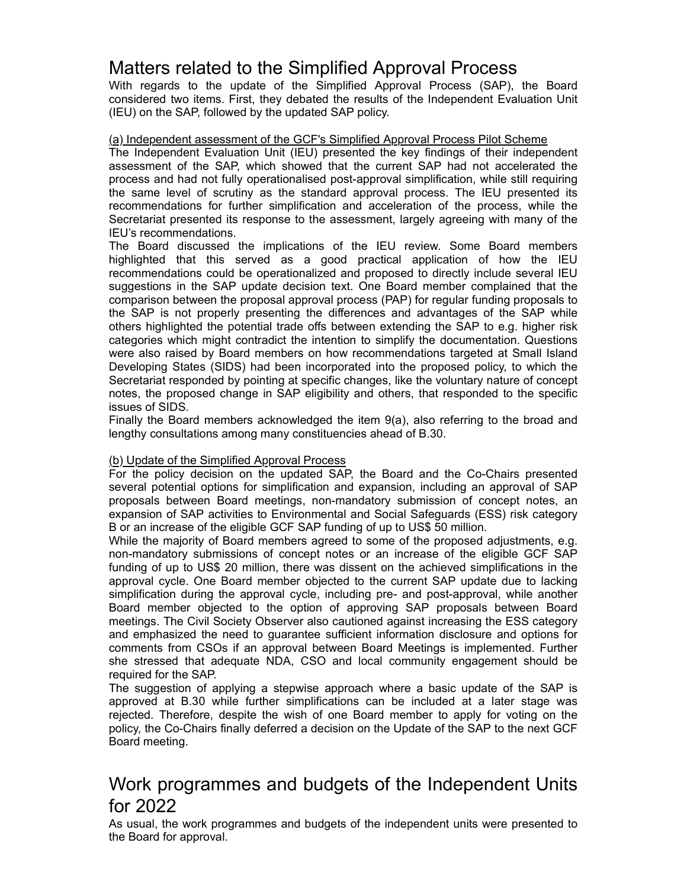## Matters related to the Simplified Approval Process

Matters related to the Simplified Approval Process<br>With regards to the update of the Simplified Approval Process (SAP), the Board<br>considered two items. First, they debated the results of the Independent Evaluation Unit<br>(IE considered two items. First, they debated the results of the Independent Evaluation Unit (IEU) on the SAP, followed by the updated SAP policy.

#### (a) Independent assessment of the GCF's Simplified Approval Process Pilot Scheme

The Independent Evaluation Unit (IEU) presented the key findings of their independent assessment of the SAP, which showed that the current SAP had not accelerated the process and had not fully operationalised post-approval simplification, while still requiring the same level of scrutiny as the standard approval process. The IEU presented its Matters related to the Simplified Approval Process<br>With regards to the update of the simplified Approval Process (SAP), the Board<br>considered two items. First, they debated the results of the Independent Evaluation Unit<br>(IE Secretariat presented its response to the assessment, largely agreeing with many of the IEU's recommendations. Matters related to the Simplified Approval Process<br>
With regards to the update of the Simplified Approval Process (SAP), the Board<br>
(IEU) on the SAP, followed by the updated SAP policy.<br>
((a) lonependent assessment of the

Matters related to the Simplified Approval Process<br>with regards to the update of the Simplified Approval Process (SAP), the Board<br>considered two tiems. First, they debated the results of the Independent Evaluation Unit<br>(IE recommendations could be operationalized and proposed to directly include several IEU suggestions in the SAP update decision text. One Board member complained that the comparison between the proposal approval process (PAP) for regular funding proposals to the SAP is not properly presenting the differences and advantages of the SAP while others highlighted the potential trade offs between extending the SAP to e.g. higher risk categories which might contradict the intention to simplify the documentation. Questions were also raised by Board members on how recommendations targeted at Small Island Developing States (SIDS) had been incorporated into the proposed policy, to which the Secretariat responded by pointing at specific changes, like the voluntary nature of concept notes, the proposed change in SAP eligibility and others, that responded to the specific issues of SIDS. execution to the signification and acceleration of the process, where the HEU review. Some Board members<br>The Board discussed the implications of the IEU review. Some Board members<br>The Board discussed the implications of th

Finally the Board members acknowledged the item 9(a), also referring to the broad and lengthy consultations among many constituencies ahead of B.30.

#### (b) Update of the Simplified Approval Process

For the policy decision on the updated SAP, the Board and the Co-Chairs presented several potential options for simplification and expansion, including an approval of SAP expansion of SAP activities to Environmental and Social Safeguards (ESS) risk category B or an increase of the eligible GCF SAP funding of up to US\$ 50 million.

While the majority of Board members agreed to some of the proposed adjustments, e.g. non-mandatory submissions of concept notes or an increase of the eligible GCF SAP funding of up to US\$ 20 million, there was dissent on the achieved simplifications in the approval cycle. One Board member objected to the current SAP update due to lacking simplification during the approval cycle, including pre- and post-approval, while another ine over is not published the phendine unit content and some and something the SAP be e.g. higher nisk others highlighted the potential trade offs between extending the SAP lo e.g. higher nisk over also raised by Board mem meetings. The Civil Society Observer also cautioned against increasing the ESS category and emphasized the need to guarantee sufficient information disclosure and options for comments from CSOs if an approval between Board Meetings is implemented. Further been that a composed than the proposed to the proposed punct). We what the proposed that a stress that is specific changes, like the voluntary nature of concept notes, the proposed change in SAP eligibility and others, tha required for the SAP. asses of Sich, the Bimplification smorp and constrained at a later simply consultations among many constituencies ahead of B.30.<br>(b) Ugdate of the Simplificed Approval Process<br>
For the policy decision on the updated SAP, t

The suggestion of applying a stepwise approach where a basic update of the SAP is rejected. Therefore, despite the wish of one Board member to apply for voting on the policy, the Co-Chairs finally deferred a decision on the Update of the SAP to the next GCF Board meeting.

## Work programmes and budgets of the Independent Units for 2022

As usual, the work programmes and budgets of the independent units were presented to the Board for approval.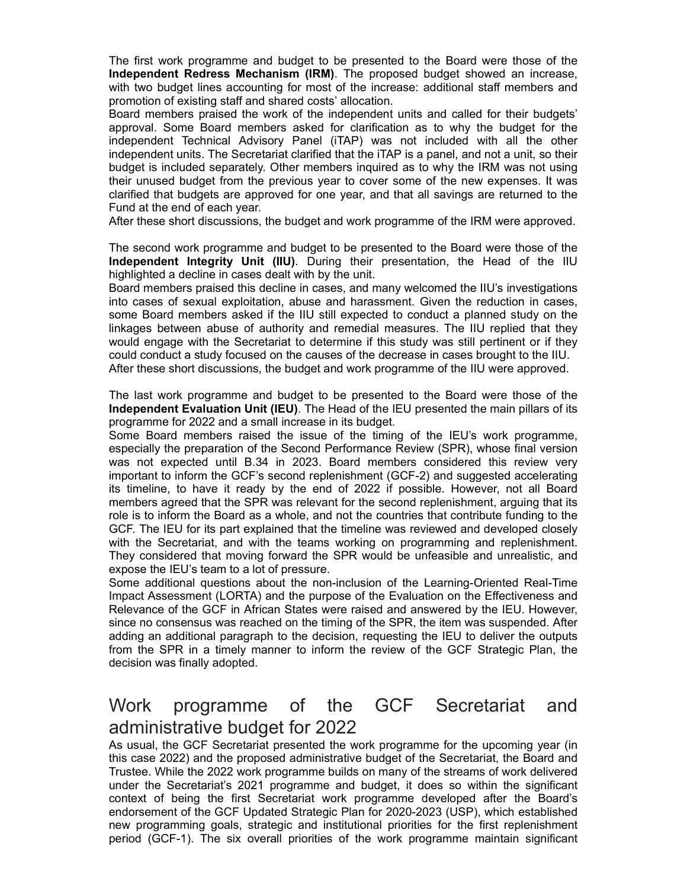The first work programme and budget to be presented to the Board were those of the Independent Redress Mechanism (IRM). The proposed budget showed an increase, with two budget lines accounting for most of the increase: additional staff members and promotion of existing staff and shared costs' allocation.

Board members praised the work of the independent units and called for their budgets' approval. Some Board members asked for clarification as to why the budget for the The first work programme and budget to be presented to the Board were those of the **Independent Redress Mechanism (IRM)**. The proposed budget showed an increase, with two budget lines accounting for most of the increase: a independent units. The Secretariat clarified that the iTAP is a panel, and not a unit, so their budget is included separately. Other members inquired as to why the IRM was not using their unused budget from the previous year to cover some of the new expenses. It was clarified that budgets are approved for one year, and that all savings are returned to the Fund at the end of each year. The first work programme and budget to be presented to the Board were those of the independent Redress Mechanism (IRM). The proposed budget showed an increase, with two budget lines accounting for most of the inclependent

After these short discussions, the budget and work programme of the IRM were approved.

The second work programme and budget to be presented to the Board were those of the highlighted a decline in cases dealt with by the unit.

Board members praised this decline in cases, and many welcomed the IIU's investigations into cases of sexual exploitation, abuse and harassment. Given the reduction in cases, some Board members asked if the IIU still expected to conduct a planned study on the linkages between abuse of authority and remedial measures. The IIU replied that they would engage with the Secretariat to determine if this study was still pertinent or if they could conduct a study focused on the causes of the decrease in cases brought to the IIU. After these short discussions, the budget and work programme of the IIU were approved. mependent reuniual mousay Prane in (in-ry was now mouse wint in in the outer<br>undependent units. The Secretariat clarified that the TAP is a panel, and not a unit, so their<br>budget is included separately. Other members inqui

The last work programme and budget to be presented to the Board were those of the Independent Evaluation Unit (IEU). The Head of the IEU presented the main pillars of its programme for 2022 and a small increase in its budget.

especially the preparation of the Second Performance Review (SPR), whose final version where we much the proper structure in the provides are with the two wears on the term of the term of the term of the term of the term of the term of the fund at the death of the Fund at the death of the Fund at the death o important to inform the GCF's second replenishment (GCF-2) and suggested accelerating is the end of the light and the bare in the specifical and with the comparison of the IRM were approved.<br>
Thus a cond work programe and budget to be presented to the Board were those of the IRM of the second work programe members agreed that the SPR was relevant for the second replenishment, arguing that its role is to inform the Board as a whole, and not the countries that contribute funding to the GCF. The IEU for its part explained that the timeline was reviewed and developed closely with the Secretariat, and with the teams working on programming and replenishment. They considered that moving forward the SPR would be unfeasible and unrealistic, and expose the IEU's team to a lot of pressure. programme for 2022 and a small increase in its budget.<br>Some Board members raised the issue of the timing of the IEU's work programme,<br>especially the preparation of the Second Performance Review (SPR), whose final version<br>e

Some additional questions about the non-inclusion of the Learning-Oriented Real-Time Impact Assessment (LORTA) and the purpose of the Evaluation on the Effectiveness and Relevance of the GCF in African States were raised and answered by the IEU. However, since no consensus was reached on the timing of the SPR, the item was suspended. After adding an additional paragraph to the decision, requesting the IEU to deliver the outputs from the SPR in a timely manner to inform the review of the GCF Strategic Plan, the decision was finally adopted.

# administrative budget for 2022

As usual, the GCF Secretariat presented the work programme for the upcoming year (in this case 2022) and the proposed administrative budget of the Secretariat, the Board and Trustee. While the 2022 work programme builds on many of the streams of work delivered under the Secretariat's 2021 programme and budget, it does so within the significant context of being the first Secretariat work programme developed after the Board's endorsement of the GCF Updated Strategic Plan for 2020-2023 (USP), which established new programming goals, strategic and institutional priorities for the first replenishment me we consultered that moving for programme in the unferallistic, and the six overall province the EU's team to a lot of pressure.<br>
Some additional questions about the non-inclusion of the Learning-Oriented Real-Time<br>
Impa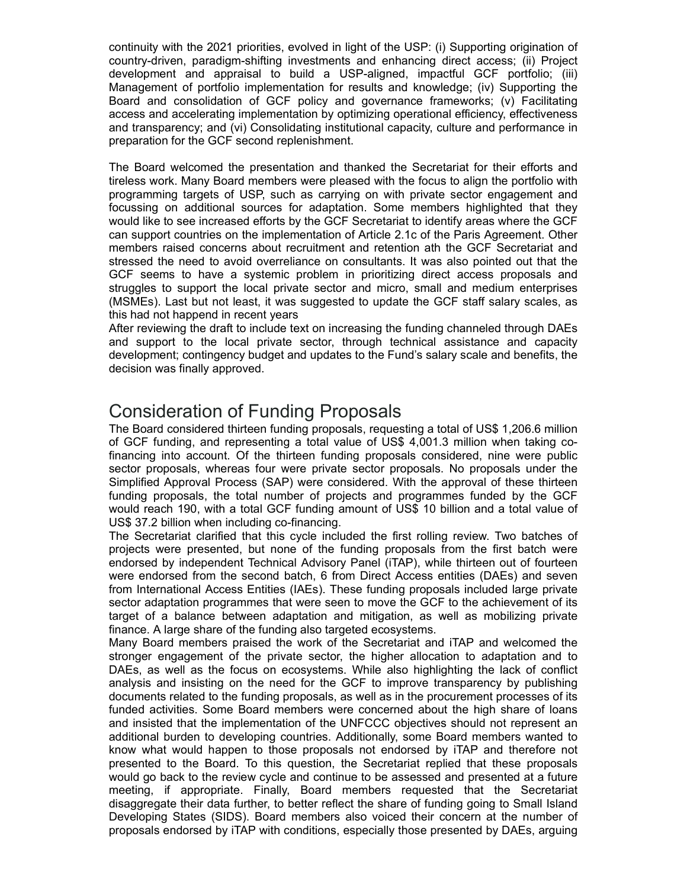continuity with the 2021 priorities, evolved in light of the USP: (i) Supporting origination of country-driven, paradigm-shifting investments and enhancing direct access; (ii) Project continuity with the 2021 priorities, evolved in light of the USP: (i) Supporting origination of<br>country-driven, paradigm-shifting investments and enhancing direct access; (ii) Project<br>development and appraisal to build a U Management of portfolio implementation for results and knowledge; (iv) Supporting the continuity with the 2021 priorities, evolved in light of the USP: (i) Supporting origination of<br>country-driven, paradigm-shifting investments and enhancing direct access; (ii) Project<br>development and appraisal to build a U access and accelerating implementation by optimizing operational efficiency, effectiveness and transparency; and (vi) Consolidating institutional capacity, culture and performance in preparation for the GCF second replenishment.

The Board welcomed the presentation and thanked the Secretariat for their efforts and tireless work. Many Board members were pleased with the focus to align the portfolio with programming targets of USP, such as carrying on with private sector engagement and continuity with the 2021 priorities, evolved in light of the USP: (i) Supporting origination of<br>country-driven, paradigm-shifting investments and enhancing direct access; (ii) Project<br>development and appraisal to build a U would like to see increased efforts by the GCF Secretariat to identify areas where the GCF can support countries on the implementation of Article 2.1c of the Paris Agreement. Other members raised concerns about recruitment and retention ath the GCF Secretariat and stressed the need to avoid overreliance on consultants. It was also pointed out that the continuity with the 2021 priorities, evolved in light of the USP: (i) Supporting origination of<br>country-driven, paradigm-shifting investments and enhancing direct access; (ii) Project<br>development and appraisal to build a U struggles to support the local private sector and micro, small and medium enterprises (MSMEs). Last but not least, it was suggested to update the GCF staff salary scales, as this had not happend in recent years countiny with the 201 publishes, evolved in high of the four-1, ty culptural groups of the most support and a present in the different controls (iii) Phare development and approach in butil a USF-aligned, impactitin GCF po

After reviewing the draft to include text on increasing the funding channeled through DAEs development; contingency budget and updates to the Fund's salary scale and benefits, the decision was finally approved.

## Consideration of Funding Proposals

The Board considered thirteen funding proposals, requesting a total of US\$ 1,206.6 million of GCF funding, and representing a total value of US\$ 4,001.3 million when taking cofinancing into account. Of the thirteen funding proposals considered, nine were public sector proposals, whereas four were private sector proposals. No proposals under the Simplified Approval Process (SAP) were considered. With the approval of these thirteen funding proposals, the total number of projects and programmes funded by the GCF would reach 190, with a total GCF funding amount of US\$ 10 billion and a total value of US\$ 37.2 billion when including co-financing.

The Secretariat clarified that this cycle included the first rolling review. Two batches of projects were presented, but none of the funding proposals from the first batch were endorsed by independent Technical Advisory Panel (iTAP), while thirteen out of fourteen were endorsed from the second batch, 6 from Direct Access entities (DAEs) and seven from International Access Entities (IAEs). These funding proposals included large private sector adaptation programmes that were seen to move the GCF to the achievement of its After reviewing the draft to include text on increasing the funding channeled through AAEs<br>and support to the local private sector, through technical assistance and capacity<br>development; contingency budget and updates to t finance. A large share of the funding also targeted ecosystems.

Many Board members praised the work of the Secretariat and iTAP and welcomed the stronger engagement of the private sector, the higher allocation to adaptation and to DAEs, as well as the focus on ecosystems. While also highlighting the lack of conflict analysis and insisting on the need for the GCF to improve transparency by publishing documents related to the funding proposals, as well as in the procurement processes of its funded activities. Some Board members were concerned about the high share of loans and insisted that the implementation of the UNFCCC objectives should not represent an additional burden to developing countries. Additionally, some Board members wanted to know what would happen to those proposals not endorsed by iTAP and therefore not presented to the Board. To this question, the Secretariat replied that these proposals would go back to the review cycle and continue to be assessed and presented at a future manny probosas, we wan naminoe of photosa sand programme school of the S37.10 billion and a total value of USS 10 billion when including co-financing.<br>The Secretariat clarified that this cycle included the first rolling re disaggregate their data further, to better reflect the share of funding going to Small Island Developing States (SIDS). Board members also voiced their concern at the number of proposals endorsed by iTAP with conditions, especially those presented by DAEs, arguing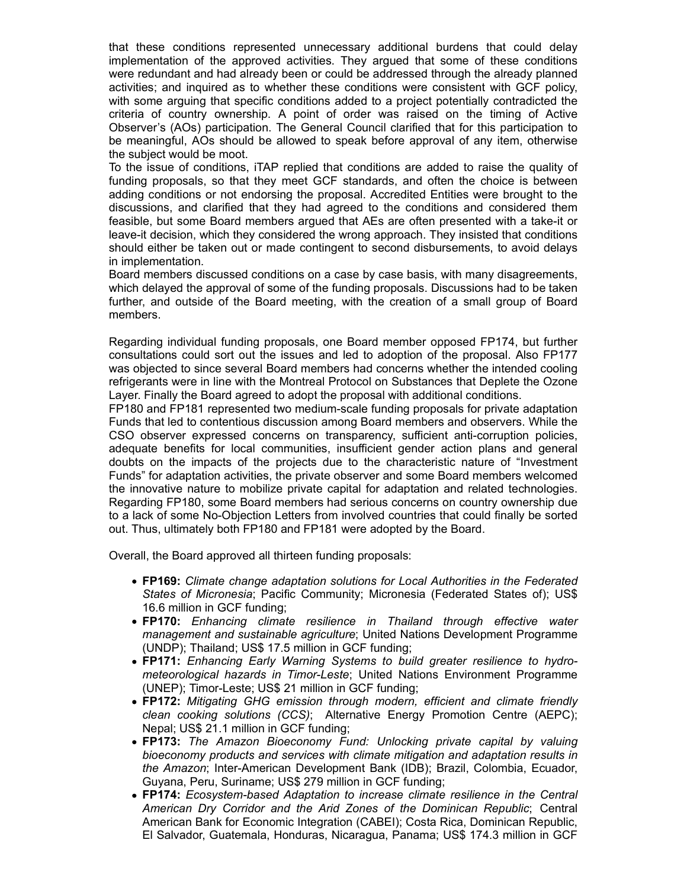that these conditions represented unnecessary additional burdens that could delay<br>implementation of the approved activities. They argued that some of these conditions<br>were redundant and had already been or could be address implementation of the approved activities. They argued that some of these conditions were redundant and had already been or could be addressed through the already planned activities; and inquired as to whether these conditions were consistent with GCF policy, with some arguing that specific conditions added to a project potentially contradicted the that these conditions represented unnecessary additional burdens that could delay<br>implementation of the approved activities. They argued that some of these conditions<br>were redundant and had already been or could be address Observer's (AOs) participation. The General Council clarified that for this participation to be meaningful, AOs should be allowed to speak before approval of any item, otherwise the subject would be moot.

To the issue of conditions, iTAP replied that conditions are added to raise the quality of funding proposals, so that they meet GCF standards, and often the choice is between adding conditions or not endorsing the proposal. Accredited Entities were brought to the discussions, and clarified that they had agreed to the conditions and considered them feasible, but some Board members argued that AEs are often presented with a take-it or leave-it decision, which they considered the wrong approach. They insisted that conditions should either be taken out or made contingent to second disbursements, to avoid delays in implementation.

Board members discussed conditions on a case by case basis, with many disagreements, which delayed the approval of some of the funding proposals. Discussions had to be taken further, and outside of the Board meeting, with the creation of a small group of Board members.

Regarding individual funding proposals, one Board member opposed FP174, but further consultations could sort out the issues and led to adoption of the proposal. Also FP177 was objected to since several Board members had concerns whether the intended cooling refrigerants were in line with the Montreal Protocol on Substances that Deplete the Ozone Layer. Finally the Board agreed to adopt the proposal with additional conditions.

FP180 and FP181 represented two medium-scale funding proposals for private adaptation Funds that led to contentious discussion among Board members and observers. While the CSO observer expressed concerns on transparency, sufficient anti-corruption policies, adequate benefits for local communities, insufficient gender action plans and general doubts on the impacts of the projects due to the characteristic nature of "Investment Funds" for adaptation activities, the private observer and some Board members welcomed the innovative nature to mobilize private capital for adaptation and related technologies. Regarding FP180, some Board members had serious concerns on country ownership due to a lack of some No-Objection Letters from involved countries that could finally be sorted out. Thus, ultimately both FP180 and FP181 were adopted by the Board. ding individual funding proposals, one Board member opposed FP174, but further atoticle in sould sort out the issues and led to adoption of the proposal. Also FP177 ignicals and led to adoption of the proposal. Also FP177 untere to contentions unscussion antioning boat three and observer expressed concerns on transparency, sufficient and convertion ploticies, and general at benefits for local communities, instifficient general convertise fo are benefits for focal communities; instincted in general cation plans and general capital<br>for other impacts of the projects due to the characteristic nature of "investment<br>for or adaptation activities, the private observe

Overall, the Board approved all thirteen funding proposals:

- FP169: Climate change adaptation solutions for Local Authorities in the Federated States of Micronesia; Pacific Community; Micronesia (Federated States of); US\$ 16.6 million in GCF funding;
- management and sustainable agriculture; United Nations Development Programme (UNDP); Thailand; US\$ 17.5 million in GCF funding;
- FP171: Enhancing Early Warning Systems to build greater resilience to hydrometeorological hazards in Timor-Leste; United Nations Environment Programme (UNEP); Timor-Leste; US\$ 21 million in GCF funding;
- FP172: Mitigating GHG emission through modern, efficient and climate friendly Nepal; US\$ 21.1 million in GCF funding;
- bioeconomy products and services with climate mitigation and adaptation results in the Amazon; Inter-American Development Bank (IDB); Brazil, Colombia, Ecuador, Guyana, Peru, Suriname; US\$ 279 million in GCF funding;
- FP174: Ecosystem-based Adaptation to increase climate resilience in the Central Ex of some No-Objection Leaues from involved countines in at count in the Federated pus, ultimately both FP160 and FP161 were adopted by the Board.<br>
I, the Board approved all thirteen funding proposals:<br> **FP169:** *Climate* American Bank for Economic Integration (CABEI); Costa Rica, Dominican Republic, El Salvador, Guatemala, Honduras, Nicaragua, Panama; US\$ 174.3 million in GCF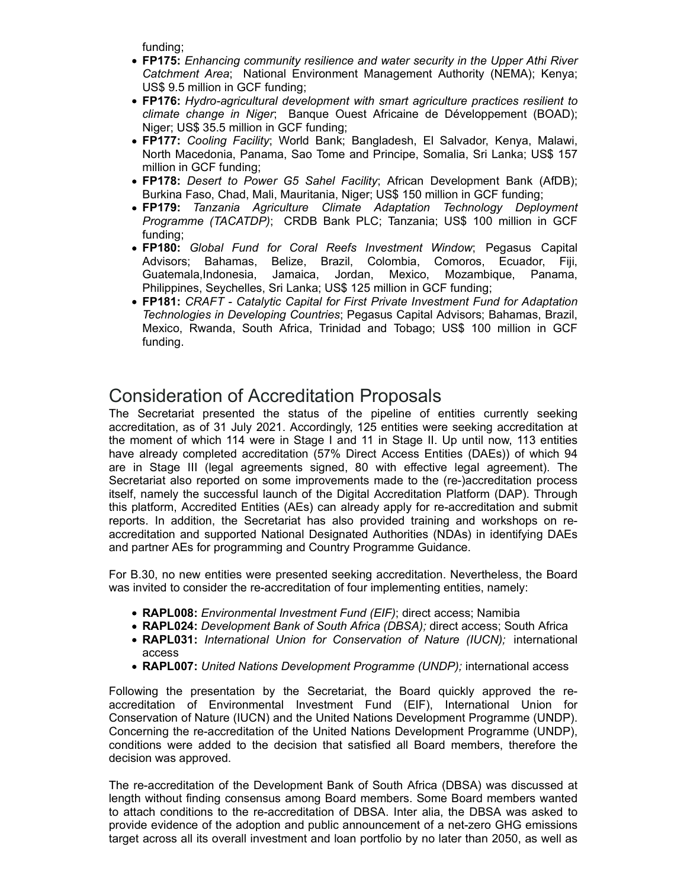funding;

- FP175: Enhancing community resilience and water security in the Upper Athi River Catchment Area; National Environment Management Authority (NEMA); Kenya; US\$ 9.5 million in GCF funding;
- FP176: Hydro-agricultural development with smart agriculture practices resilient to
- funding;<br>FP175: Enhancing community resilience and water security in the Upper Athi River<br>Catchment Area; National Environment Management Authority (NEMA); Kenya;<br>US\$ 9.5 million in GCF funding;<br>FP176: Hydro-agricultural d Niger; US\$ 35.5 million in GCF funding;<br>● FP177: *Cooling Facility*; World Bank; Bangladesh, El Salvador, Kenya, Malawi, funding;<br>FP175: Enhancing community resilience and water security in the Upper Athi River<br>Catchment Area; National Environment Management Authority (NEMA); Kenya;<br>US\$ 9.5 million in GCF funding;<br>FP176: Hydro-agricultural d North Macedonia, Panama, Sao Tome and Principe, Somalia, Sri Lanka; US\$ 157 million in GCF funding;
- Burkina Faso, Chad, Mali, Mauritania, Niger; US\$ 150 million in GCF funding;
- funding:<br> **FP175:** Enhancing community resilience and water security in the Upper Athi River<br>
Catchment Area; National Environment Management Authority (NEMA); Kenya;<br>
US\$ 9.5 million in GCF funding;<br>
FI176: Hydro-agricult funding:<br> **FP175:** Enhancing community resilience and water security in the Upper Athi River<br>
Catchment Area; National Environment Management Authority (NEMA); Kenya;<br>
US\$ 9.5 million in GCF funding;<br>
FIP176: Hydro-agricul Programme (TACATDP); CRDB Bank PLC; Tanzania; US\$ 100 million in GCF funding;
- funding;<br> **FP175:** *Enhancing community resilience and water security in the Upper Athi River*<br> **Catchment Area; National Environment Management Authority (NEMA); Kenya;<br>
USS 9.5 million in GCF funding;<br>
<b>FP176:** *Hydro-ag* funding;<br> **FP175:** *Enhancing community resilience and water security in the Upper Athi River*<br> **Catchment Area; National Environment Management Authority (NEMA); Kenya;**<br>
US\$ 9.5 million in GCF funding;<br> **PP176:** *Hydro-a* Philippines, Seychelles, Sri Lanka; US\$ 125 million in GCF funding;
- funding;<br> **FP175:** Enhancing community resilience and water security in the Upper Athi River<br>
Catchnent Area; National Environment Management Authority (NEMA); Kenya;<br>
USS 9.5 million in GCF funding;<br> **EP176:** Hydro-agricu FP181: CRAFT - Catalytic Capital for First Private Investment Fund for Adaptation Technologies in Developing Countries; Pegasus Capital Advisors; Bahamas, Brazil, funding;<br>
funding;<br>
EP175: Enhancing community resilience and water security in the Upper Athi River<br>
Catchment Area; National Environment Management Authority (NEMA); Kenya;<br>
US\$ 9.5. million in GCF funding;<br>
Merr, US\$ 35 funding.

## Consideration of Accreditation Proposals

Niger: US\$ 35.5 million in GCF funding:<br>
The Secretariat presented the status of the pipeline of the pipeline of the pipeline of the status of the Secretariat present of the FP178: Desert to Power G5 Sahel Facility, Afric accreditation, as of 31 July 2021. Accordingly, 125 entities were seeking accreditation at the moment of which 114 were in Stage I and 11 in Stage II. Up until now, 113 entities have already completed accreditation (57% Direct Access Entities (DAEs)) of which 94 • F118: Desert to Fower G5 Sahel Facility, African Development Bank (Af0B);<br>
Burkina Faso, Chad, Mauritania, Niger, US\$ 150 million in GCF funding;<br>
• FP179: Tanzania Agriculture Climate Adaptation Technology Deployment<br>
P Secretariat also reported on some improvements made to the (re-)accreditation process itself, namely the successful launch of the Digital Accreditation Platform (DAP). Through this platform, Accredited Entities (AEs) can already apply for re-accreditation and submit funding.<br>
FP180: *Global Fund for Coral Reefs Investment Window*; Pegasus Capital<br>
Advisors; Bahamas, Belize, Brazili, Colombia, Comors, Ecuador, Fiji,<br>
Guaternala,Indonesia, Jamaica, Jordan, Mexico, Mozambique, Panama,<br>
P accreditation and supported National Designated Authorities (NDAs) in identifying DAEs and partner AEs for programming and Country Programme Guidance. sideration of Accreditation Proposals<br>secretariat presented the status of the pipeline of entities were seeking accreditation, as of 31 July 2021. Accordingly, 125 entities were seeking accreditation at<br>littation, as of 31 Following the presentation by the Secretariat, the Board quickly approved the re-The Secretarial presented the status of the pipeline of entities currely seeking<br>accreditation, as of 31 July 2021. Accordingly, 125 entities were seeking accreditation at<br>the moment of which 114 were in Stage I and 11 in

For B.30, no new entities were presented seeking accreditation. Nevertheless, the Board was invited to consider the re-accreditation of four implementing entities, namely:

- RAPL008: *Environmental Investment Fund (EIF)*; direct access; Namibia
- RAPL024: Development Bank of South Africa (DBSA); direct access; South Africa
- access
- RAPL007: United Nations Development Programme (UNDP); international access

Conservation of Nature (IUCN) and the United Nations Development Programme (UNDP). Concerning the re-accreditation of the United Nations Development Programme (UNDP), conditions were added to the decision that satisfied all Board members, therefore the decision was approved.

The re-accreditation of the Development Bank of South Africa (DBSA) was discussed at length without finding consensus among Board members. Some Board members wanted to attach conditions to the re-accreditation of DBSA. Inter alia, the DBSA was asked to provide evidence of the adoption and public announcement of a net-zero GHG emissions target across all its overall investment and loan portfolio by no later than 2050, as well as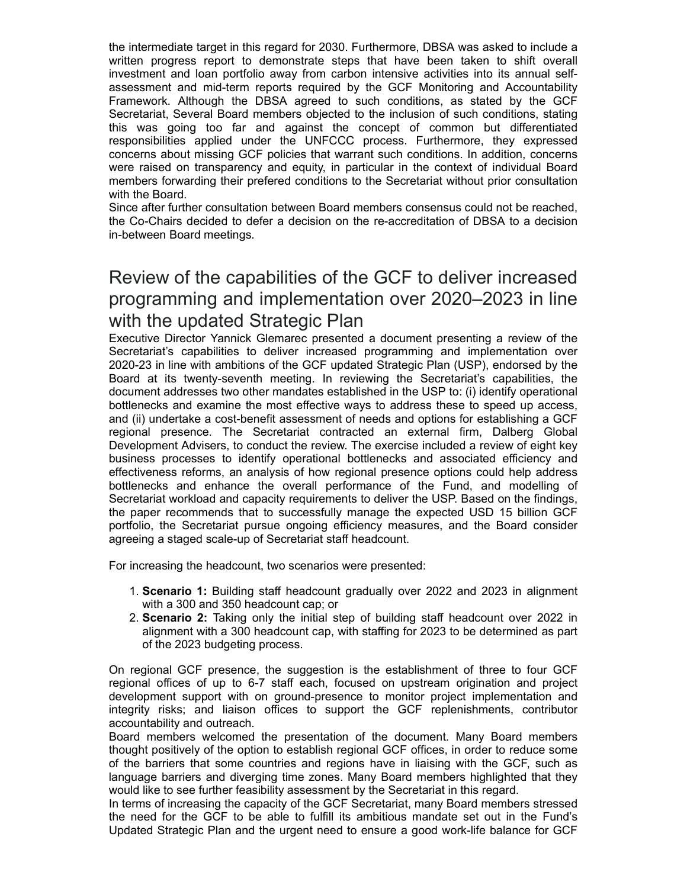the intermediate target in this regard for 2030. Furthermore, DBSA was asked to include a the intermediate target in this regard for 2030. Furthermore, DBSA was asked to include a<br>written progress report to demonstrate steps that have been taken to shift overall<br>investment and loan portfolio away from carbon in investment and loan portfolio away from carbon intensive activities into its annual selfassessment and mid-term reports required by the GCF Monitoring and Accountability the intermediate target in this regard for 2030. Furthermore, DBSA was asked to include a<br>written progress report to demonstrate steps that have been taken to shift overall<br>investment and loan portfolio away from carbon in Secretariat, Several Board members objected to the inclusion of such conditions, stating the intermediate target in this regard for 2030. Furthermore, DBSA was asked to include a written progress report to demonstrate steps that have been taken to shift overall investment and loan portfolio away from carbon in the intermediate target in this regard for 2030. Furthermore, DBSA was asked to include a written progress report to demonstrate steps that have been taken to shift overall investment and loan portfolio away from carbon in concerns about missing GCF policies that warrant such conditions. In addition, concerns were raised on transparency and equity, in particular in the context of individual Board members forwarding their prefered conditions to the Secretariat without prior consultation with the Board. writen progress report to demonstrate steps that have been taken to start overtures<br>tinvestment and indi-demonstrate equired by the GCF Montitoring and Accountability<br>Framework. Although the BBSA agreed to such contitions,

Since after further consultation between Board members consensus could not be reached, the Co-Chairs decided to defer a decision on the re-accreditation of DBSA to a decision in-between Board meetings.

## Review of the capabilities of the GCF to deliver increased programming and implementation over 2020–2023 in line with the updated Strategic Plan

Executive Director Yannick Glemarec presented a document presenting a review of the 2020-23 in line with ambitions of the GCF updated Strategic Plan (USP), endorsed by the assessment an indi-term reports required by the GCF Montinging and Accountability<br>Screetariat, Several Board members objected to the inclusion of such continues, stated by the GCF<br>Secretariat, Several Board members objecte document addresses two other mandates established in the USP to: (i) identify operational bottlenecks and examine the most effective ways to address these to speed up access, and (ii) undertake a cost-benefit assessment of needs and options for establishing a GCF responsibilities applied under the UNFCCC process. Furthermore, they expressed to reansed on transparency and equity, in particular in the context of individual Board members forwarding their prefered conditions to the Sec Development Advisers, to conduct the review. The exercise included a review of eight key were raised on transparency and equity, in particular in the context of individual botarial both the Board.<br>The calibration schemes Since after the constrained Since after the co-Chairs decided to defer a decision on the r effectiveness reforms, an analysis of how regional presence options could help address with the board.<br>
with a board is constrained to defer a decision on the re-accreditation of DBSA to a decision<br>
the Co-Chairs decided to defer a decision on the re-accreditation of DBSA to a decision<br>
in-between Board meet Secretariat workload and capacity requirements to deliver the USP. Based on the findings, the paper recommends that to successfully manage the expected USD 15 billion GCF portfolio, the Secretariat pursue ongoing efficiency measures, and the Board consider agreeing a staged scale-up of Secretariat staff headcount. potitieness and examine the most effective ways to address these to speed up access<br>and (ii) undertake a cost-benefit assessment of needs and options for establishing a GCF<br>experiant parence. The Secretarial contracted an and (ii) underfalse a cost-benefil assessment of needs and options for establishing a GCF replenishment Advisers, to conduct the review. The exercise included a review of eight key<br>business processes to identify operationa Development Advasers, to conduct the review. The exerces included a review of eight key<br>business processes to identify operational bottlenecks and associated efficiency and<br>efficiences reforms, an analytis of how regional

For increasing the headcount, two scenarios were presented:

- 1. Scenario 1: Building staff headcount gradually over 2022 and 2023 in alignment with a 300 and 350 headcount cap; or
- 2. Scenario 2: Taking only the initial step of building staff headcount over 2022 in alignment with a 300 headcount cap, with staffing for 2023 to be determined as part of the 2023 budgeting process.

On regional GCF presence, the suggestion is the establishment of three to four GCF regional offices of up to 6-7 staff each, focused on upstream origination and project accountability and outreach.

thought positively of the option to establish regional GCF offices, in order to reduce some of the barriers that some countries and regions have in liaising with the GCF, such as language barriers and diverging time zones. Many Board members highlighted that they would like to see further feasibility assessment by the Secretariat in this regard.

In terms of increasing the capacity of the GCF Secretariat, many Board members stressed the need for the GCF to be able to fulfill its ambitious mandate set out in the Fund's Updated Strategic Plan and the urgent need to ensure a good work-life balance for GCF